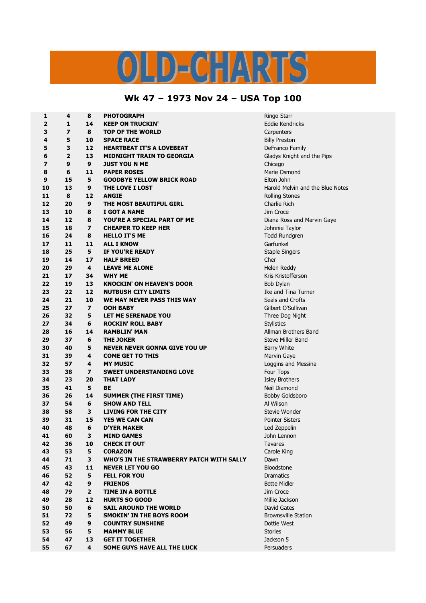## LD-CHARTS

## **Wk 47 – 1973 Nov 24 – USA Top 100**

| 4              | 8                                                                                                                                                      | PHOTOGRAPH                                                                                                                                                                       | Ringo Starr                                                                                                                                                                                                                                                                                                                                                                                                                                                                                                                                                                                                                   |
|----------------|--------------------------------------------------------------------------------------------------------------------------------------------------------|----------------------------------------------------------------------------------------------------------------------------------------------------------------------------------|-------------------------------------------------------------------------------------------------------------------------------------------------------------------------------------------------------------------------------------------------------------------------------------------------------------------------------------------------------------------------------------------------------------------------------------------------------------------------------------------------------------------------------------------------------------------------------------------------------------------------------|
| 1              | 14                                                                                                                                                     | <b>KEEP ON TRUCKIN'</b>                                                                                                                                                          | Eddie Kendricks                                                                                                                                                                                                                                                                                                                                                                                                                                                                                                                                                                                                               |
| $\overline{z}$ | 8                                                                                                                                                      | <b>TOP OF THE WORLD</b>                                                                                                                                                          | Carpenters                                                                                                                                                                                                                                                                                                                                                                                                                                                                                                                                                                                                                    |
| 5              | 10                                                                                                                                                     | <b>SPACE RACE</b>                                                                                                                                                                | <b>Billy Preston</b>                                                                                                                                                                                                                                                                                                                                                                                                                                                                                                                                                                                                          |
| 3              | 12                                                                                                                                                     | <b>HEARTBEAT IT'S A LOVEBEAT</b>                                                                                                                                                 | DeFranco Family                                                                                                                                                                                                                                                                                                                                                                                                                                                                                                                                                                                                               |
| $\overline{2}$ | 13                                                                                                                                                     | <b>MIDNIGHT TRAIN TO GEORGIA</b>                                                                                                                                                 | Gladys Knight and the Pips                                                                                                                                                                                                                                                                                                                                                                                                                                                                                                                                                                                                    |
| 9              | 9                                                                                                                                                      | <b>JUST YOU N ME</b>                                                                                                                                                             | Chicago                                                                                                                                                                                                                                                                                                                                                                                                                                                                                                                                                                                                                       |
|                | 11                                                                                                                                                     |                                                                                                                                                                                  | Marie Osmond                                                                                                                                                                                                                                                                                                                                                                                                                                                                                                                                                                                                                  |
|                |                                                                                                                                                        |                                                                                                                                                                                  | Elton John                                                                                                                                                                                                                                                                                                                                                                                                                                                                                                                                                                                                                    |
| 13             | 9                                                                                                                                                      | THE LOVE I LOST                                                                                                                                                                  | Harold Melvin and the Blue Notes                                                                                                                                                                                                                                                                                                                                                                                                                                                                                                                                                                                              |
|                | 12                                                                                                                                                     | <b>ANGIE</b>                                                                                                                                                                     | <b>Rolling Stones</b>                                                                                                                                                                                                                                                                                                                                                                                                                                                                                                                                                                                                         |
| 20             | 9                                                                                                                                                      | THE MOST BEAUTIFUL GIRL                                                                                                                                                          | Charlie Rich                                                                                                                                                                                                                                                                                                                                                                                                                                                                                                                                                                                                                  |
|                | 8                                                                                                                                                      | I GOT A NAME                                                                                                                                                                     | Jim Croce                                                                                                                                                                                                                                                                                                                                                                                                                                                                                                                                                                                                                     |
|                |                                                                                                                                                        |                                                                                                                                                                                  | Diana Ross and Marvin Gaye                                                                                                                                                                                                                                                                                                                                                                                                                                                                                                                                                                                                    |
|                |                                                                                                                                                        |                                                                                                                                                                                  | Johnnie Taylor                                                                                                                                                                                                                                                                                                                                                                                                                                                                                                                                                                                                                |
|                |                                                                                                                                                        |                                                                                                                                                                                  | Todd Rundgren                                                                                                                                                                                                                                                                                                                                                                                                                                                                                                                                                                                                                 |
|                |                                                                                                                                                        |                                                                                                                                                                                  | Garfunkel                                                                                                                                                                                                                                                                                                                                                                                                                                                                                                                                                                                                                     |
|                |                                                                                                                                                        |                                                                                                                                                                                  | <b>Staple Singers</b>                                                                                                                                                                                                                                                                                                                                                                                                                                                                                                                                                                                                         |
|                |                                                                                                                                                        |                                                                                                                                                                                  | Cher                                                                                                                                                                                                                                                                                                                                                                                                                                                                                                                                                                                                                          |
|                |                                                                                                                                                        |                                                                                                                                                                                  | Helen Reddy                                                                                                                                                                                                                                                                                                                                                                                                                                                                                                                                                                                                                   |
|                |                                                                                                                                                        |                                                                                                                                                                                  |                                                                                                                                                                                                                                                                                                                                                                                                                                                                                                                                                                                                                               |
|                |                                                                                                                                                        |                                                                                                                                                                                  | Kris Kristofferson                                                                                                                                                                                                                                                                                                                                                                                                                                                                                                                                                                                                            |
|                |                                                                                                                                                        |                                                                                                                                                                                  | Bob Dylan                                                                                                                                                                                                                                                                                                                                                                                                                                                                                                                                                                                                                     |
|                |                                                                                                                                                        |                                                                                                                                                                                  | Ike and Tina Turner                                                                                                                                                                                                                                                                                                                                                                                                                                                                                                                                                                                                           |
|                |                                                                                                                                                        |                                                                                                                                                                                  | Seals and Crofts                                                                                                                                                                                                                                                                                                                                                                                                                                                                                                                                                                                                              |
|                |                                                                                                                                                        |                                                                                                                                                                                  | Gilbert O'Sullivan                                                                                                                                                                                                                                                                                                                                                                                                                                                                                                                                                                                                            |
|                |                                                                                                                                                        |                                                                                                                                                                                  | Three Dog Night                                                                                                                                                                                                                                                                                                                                                                                                                                                                                                                                                                                                               |
|                |                                                                                                                                                        |                                                                                                                                                                                  | <b>Stylistics</b>                                                                                                                                                                                                                                                                                                                                                                                                                                                                                                                                                                                                             |
|                |                                                                                                                                                        |                                                                                                                                                                                  | Allman Brothers Band                                                                                                                                                                                                                                                                                                                                                                                                                                                                                                                                                                                                          |
|                |                                                                                                                                                        |                                                                                                                                                                                  | <b>Steve Miller Band</b>                                                                                                                                                                                                                                                                                                                                                                                                                                                                                                                                                                                                      |
|                |                                                                                                                                                        |                                                                                                                                                                                  | <b>Barry White</b>                                                                                                                                                                                                                                                                                                                                                                                                                                                                                                                                                                                                            |
|                |                                                                                                                                                        |                                                                                                                                                                                  | Marvin Gaye                                                                                                                                                                                                                                                                                                                                                                                                                                                                                                                                                                                                                   |
|                |                                                                                                                                                        |                                                                                                                                                                                  | Loggins and Messina                                                                                                                                                                                                                                                                                                                                                                                                                                                                                                                                                                                                           |
|                |                                                                                                                                                        |                                                                                                                                                                                  | Four Tops                                                                                                                                                                                                                                                                                                                                                                                                                                                                                                                                                                                                                     |
|                |                                                                                                                                                        |                                                                                                                                                                                  | <b>Isley Brothers</b>                                                                                                                                                                                                                                                                                                                                                                                                                                                                                                                                                                                                         |
|                |                                                                                                                                                        |                                                                                                                                                                                  | Neil Diamond                                                                                                                                                                                                                                                                                                                                                                                                                                                                                                                                                                                                                  |
| 26             | 14                                                                                                                                                     | <b>SUMMER (THE FIRST TIME)</b>                                                                                                                                                   | <b>Bobby Goldsboro</b>                                                                                                                                                                                                                                                                                                                                                                                                                                                                                                                                                                                                        |
| 54             | 6                                                                                                                                                      | <b>SHOW AND TELL</b>                                                                                                                                                             | Al Wilson                                                                                                                                                                                                                                                                                                                                                                                                                                                                                                                                                                                                                     |
| 58             | 3                                                                                                                                                      | <b>LIVING FOR THE CITY</b>                                                                                                                                                       | Stevie Wonder                                                                                                                                                                                                                                                                                                                                                                                                                                                                                                                                                                                                                 |
| 31             | 15                                                                                                                                                     | <b>YES WE CAN CAN</b>                                                                                                                                                            | <b>Pointer Sisters</b>                                                                                                                                                                                                                                                                                                                                                                                                                                                                                                                                                                                                        |
| 48             | 6                                                                                                                                                      | <b>D'YER MAKER</b>                                                                                                                                                               | Led Zeppelin                                                                                                                                                                                                                                                                                                                                                                                                                                                                                                                                                                                                                  |
| 60             | 3                                                                                                                                                      | <b>MIND GAMES</b>                                                                                                                                                                | John Lennon                                                                                                                                                                                                                                                                                                                                                                                                                                                                                                                                                                                                                   |
| 36             | 10                                                                                                                                                     | <b>CHECK IT OUT</b>                                                                                                                                                              | <b>Tavares</b>                                                                                                                                                                                                                                                                                                                                                                                                                                                                                                                                                                                                                |
| 53             | 5                                                                                                                                                      | <b>CORAZON</b>                                                                                                                                                                   | Carole King                                                                                                                                                                                                                                                                                                                                                                                                                                                                                                                                                                                                                   |
| 71             | 3                                                                                                                                                      | WHO'S IN THE STRAWBERRY PATCH WITH SALLY                                                                                                                                         | Dawn                                                                                                                                                                                                                                                                                                                                                                                                                                                                                                                                                                                                                          |
| 43             | 11                                                                                                                                                     | <b>NEVER LET YOU GO</b>                                                                                                                                                          | Bloodstone                                                                                                                                                                                                                                                                                                                                                                                                                                                                                                                                                                                                                    |
| 52             | 5                                                                                                                                                      | <b>FELL FOR YOU</b>                                                                                                                                                              | <b>Dramatics</b>                                                                                                                                                                                                                                                                                                                                                                                                                                                                                                                                                                                                              |
| 42             | 9                                                                                                                                                      | <b>FRIENDS</b>                                                                                                                                                                   | <b>Bette Midler</b>                                                                                                                                                                                                                                                                                                                                                                                                                                                                                                                                                                                                           |
| 79             | $\mathbf{2}$                                                                                                                                           | TIME IN A BOTTLE                                                                                                                                                                 | Jim Croce                                                                                                                                                                                                                                                                                                                                                                                                                                                                                                                                                                                                                     |
| 28             | 12                                                                                                                                                     | <b>HURTS SO GOOD</b>                                                                                                                                                             | Millie Jackson                                                                                                                                                                                                                                                                                                                                                                                                                                                                                                                                                                                                                |
| 50             | 6                                                                                                                                                      | <b>SAIL AROUND THE WORLD</b>                                                                                                                                                     | David Gates                                                                                                                                                                                                                                                                                                                                                                                                                                                                                                                                                                                                                   |
| 72             | 5                                                                                                                                                      | <b>SMOKIN' IN THE BOYS ROOM</b>                                                                                                                                                  | <b>Brownsville Station</b>                                                                                                                                                                                                                                                                                                                                                                                                                                                                                                                                                                                                    |
| 49             | 9                                                                                                                                                      | <b>COUNTRY SUNSHINE</b>                                                                                                                                                          | Dottie West                                                                                                                                                                                                                                                                                                                                                                                                                                                                                                                                                                                                                   |
| 56             | 5                                                                                                                                                      | <b>MAMMY BLUE</b>                                                                                                                                                                | <b>Stories</b>                                                                                                                                                                                                                                                                                                                                                                                                                                                                                                                                                                                                                |
| 47             | 13                                                                                                                                                     | <b>GET IT TOGETHER</b>                                                                                                                                                           | Jackson 5                                                                                                                                                                                                                                                                                                                                                                                                                                                                                                                                                                                                                     |
| 67             | 4                                                                                                                                                      | SOME GUYS HAVE ALL THE LUCK                                                                                                                                                      | Persuaders                                                                                                                                                                                                                                                                                                                                                                                                                                                                                                                                                                                                                    |
|                | 6<br>15<br>8<br>10<br>12<br>18<br>24<br>11<br>25<br>14<br>29<br>17<br>19<br>22<br>21<br>27<br>32<br>34<br>16<br>37<br>40<br>39<br>57<br>38<br>23<br>41 | 5<br>8<br>$\overline{ }$<br>8<br>11<br>5<br>17<br>4<br>34<br>13<br>12<br>10<br>$\overline{\mathbf{z}}$<br>5<br>6<br>14<br>6<br>5<br>4<br>4<br>$\overline{\mathbf{z}}$<br>20<br>5 | <b>PAPER ROSES</b><br><b>GOODBYE YELLOW BRICK ROAD</b><br>YOU'RE A SPECIAL PART OF ME<br><b>CHEAPER TO KEEP HER</b><br><b>HELLO IT'S ME</b><br><b>ALL I KNOW</b><br>IF YOU'RE READY<br><b>HALF BREED</b><br><b>LEAVE ME ALONE</b><br><b>WHY ME</b><br><b>KNOCKIN' ON HEAVEN'S DOOR</b><br><b>NUTBUSH CITY LIMITS</b><br>WE MAY NEVER PASS THIS WAY<br><b>OOH BABY</b><br>LET ME SERENADE YOU<br><b>ROCKIN' ROLL BABY</b><br><b>RAMBLIN' MAN</b><br><b>THE JOKER</b><br><b>NEVER NEVER GONNA GIVE YOU UP</b><br><b>COME GET TO THIS</b><br><b>MY MUSIC</b><br><b>SWEET UNDERSTANDING LOVE</b><br><b>THAT LADY</b><br><b>BE</b> |